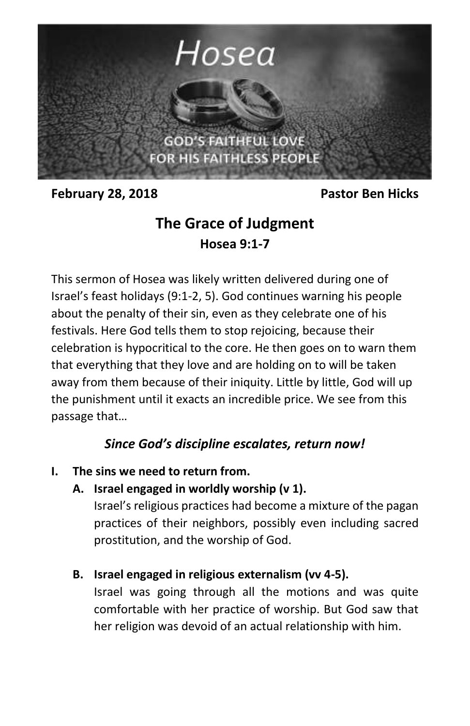

**February 28, 2018** Pastor Ben Hicks

# **The Grace of Judgment Hosea 9:1-7**

This sermon of Hosea was likely written delivered during one of Israel's feast holidays (9:1-2, 5). God continues warning his people about the penalty of their sin, even as they celebrate one of his festivals. Here God tells them to stop rejoicing, because their celebration is hypocritical to the core. He then goes on to warn them that everything that they love and are holding on to will be taken away from them because of their iniquity. Little by little, God will up the punishment until it exacts an incredible price. We see from this passage that…

## *Since God's discipline escalates, return now!*

### **I. The sins we need to return from.**

**A. Israel engaged in worldly worship (v 1).**

Israel's religious practices had become a mixture of the pagan practices of their neighbors, possibly even including sacred prostitution, and the worship of God.

**B. Israel engaged in religious externalism (vv 4-5).**

Israel was going through all the motions and was quite comfortable with her practice of worship. But God saw that her religion was devoid of an actual relationship with him.